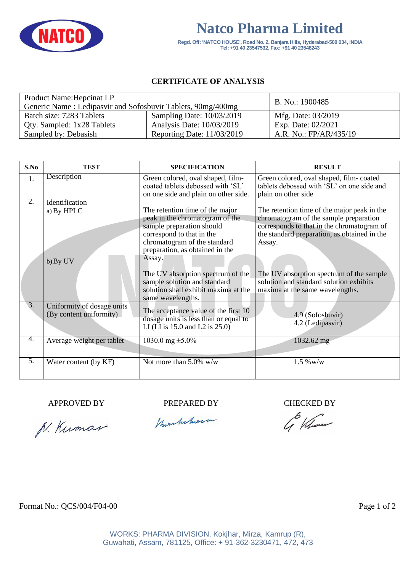

# **Natco Pharma Limited**

**Regd. Off: 'NATCO HOUSE', Road No. 2, Banjara Hills, Hyderabad-500 034, INDIA Tel: +91 40 23547532, Fax: +91 40 23548243**

### **CERTIFICATE OF ANALYSIS**

| Product Name: Hepcinat LP                                   |                              | B. No.: 1900485        |
|-------------------------------------------------------------|------------------------------|------------------------|
| Generic Name: Ledipasvir and Sofosbuvir Tablets, 90mg/400mg |                              |                        |
| Batch size: 7283 Tablets                                    | Sampling Date: $10/03/2019$  | Mfg. Date: 03/2019     |
| Oty. Sampled: 1x28 Tablets                                  | Analysis Date: 10/03/2019    | Exp. Date: 02/2021     |
| Sampled by: Debasish                                        | Reporting Date: $11/03/2019$ | A.R. No.: FP/AR/435/19 |

| S.No | <b>TEST</b>                                           | <b>SPECIFICATION</b>                                                                                                                                                                                                                                                                                                   | <b>RESULT</b>                                                                                                                                                                                                                                                                        |
|------|-------------------------------------------------------|------------------------------------------------------------------------------------------------------------------------------------------------------------------------------------------------------------------------------------------------------------------------------------------------------------------------|--------------------------------------------------------------------------------------------------------------------------------------------------------------------------------------------------------------------------------------------------------------------------------------|
| 1.   | Description                                           | Green colored, oval shaped, film-<br>coated tablets debossed with 'SL'<br>on one side and plain on other side.                                                                                                                                                                                                         | Green colored, oval shaped, film-coated<br>tablets debossed with 'SL' on one side and<br>plain on other side                                                                                                                                                                         |
| 2.   | Identification<br>a) By HPLC<br>b) By UV              | The retention time of the major<br>peak in the chromatogram of the<br>sample preparation should<br>correspond to that in the<br>chromatogram of the standard<br>preparation, as obtained in the<br>Assay.<br>The UV absorption spectrum of the<br>sample solution and standard<br>solution shall exhibit maxima at the | The retention time of the major peak in the<br>chromatogram of the sample preparation<br>corresponds to that in the chromatogram of<br>the standard preparation, as obtained in the<br>Assay.<br>The UV absorption spectrum of the sample<br>solution and standard solution exhibits |
| 3.   | Uniformity of dosage units<br>(By content uniformity) | same wavelengths.<br>The acceptance value of the first 10<br>dosage units is less than or equal to<br>LI (LI is 15.0 and L2 is 25.0)                                                                                                                                                                                   | maxima at the same wavelengths.<br>4.9 (Sofosbuvir)<br>4.2 (Ledipasvir)                                                                                                                                                                                                              |
| 4.   | Average weight per tablet                             | 1030.0 mg $\pm$ 5.0%                                                                                                                                                                                                                                                                                                   | 1032.62 mg                                                                                                                                                                                                                                                                           |
| 5.   | Water content (by KF)                                 | Not more than $5.0\%$ w/w                                                                                                                                                                                                                                                                                              | $1.5 \% \text{w/w}$                                                                                                                                                                                                                                                                  |

APPROVED BY PREPARED BY CHECKED BY

G. Whome

N. Kumar

Montrehern

Format No.: QCS/004/F04-00 Page 1 of 2